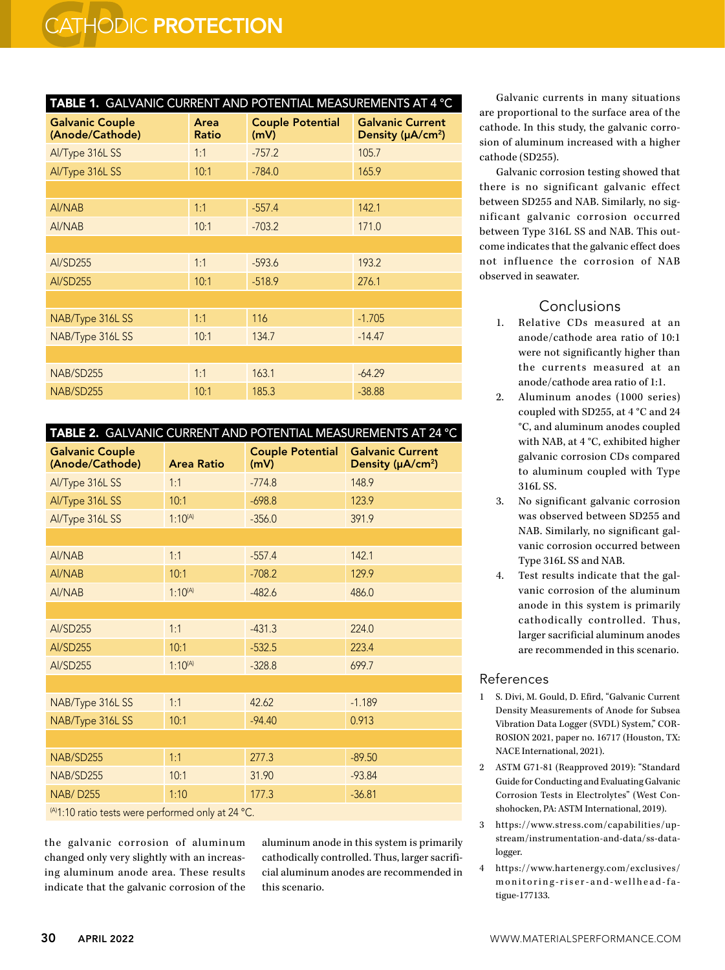| TABLE 1. GALVANIC CURRENT AND POTENTIAL MEASUREMENTS AT 4 °C |               |                                 |                                                          |  |  |  |
|--------------------------------------------------------------|---------------|---------------------------------|----------------------------------------------------------|--|--|--|
| <b>Galvanic Couple</b><br>(Anode/Cathode)                    | Area<br>Ratio | <b>Couple Potential</b><br>(mV) | <b>Galvanic Current</b><br>Density (µA/cm <sup>2</sup> ) |  |  |  |
| Al/Type 316L SS                                              | 1:1           | $-757.2$                        | 105.7                                                    |  |  |  |
| Al/Type 316L SS                                              | 10:1          | $-784.0$                        | 165.9                                                    |  |  |  |
|                                                              |               |                                 |                                                          |  |  |  |
| Al/NAB                                                       | 1:1           | $-557.4$                        | 142.1                                                    |  |  |  |
| Al/NAB                                                       | 10:1          | $-703.2$                        | 171.0                                                    |  |  |  |
|                                                              |               |                                 |                                                          |  |  |  |
| Al/SD255                                                     | 1:1           | $-593.6$                        | 193.2                                                    |  |  |  |
| Al/SD255                                                     | 10:1          | $-518.9$                        | 276.1                                                    |  |  |  |
|                                                              |               |                                 |                                                          |  |  |  |
| NAB/Type 316L SS                                             | 1:1           | 116                             | $-1.705$                                                 |  |  |  |
| NAB/Type 316L SS                                             | 10:1          | 134.7                           | $-14.47$                                                 |  |  |  |
|                                                              |               |                                 |                                                          |  |  |  |
| NAB/SD255                                                    | 1:1           | 163.1                           | $-64.29$                                                 |  |  |  |
| NAB/SD255                                                    | 10:1          | 185.3                           | $-38.88$                                                 |  |  |  |

| TABLE 2. GALVANIC CURRENT AND POTENTIAL MEASUREMENTS AT 24 °C |                   |                                 |                                                          |  |  |
|---------------------------------------------------------------|-------------------|---------------------------------|----------------------------------------------------------|--|--|
| <b>Galvanic Couple</b><br>(Anode/Cathode)                     | <b>Area Ratio</b> | <b>Couple Potential</b><br>(mV) | <b>Galvanic Current</b><br>Density (µA/cm <sup>2</sup> ) |  |  |
| Al/Type 316L SS                                               | 1:1               | $-774.8$                        | 148.9                                                    |  |  |
| Al/Type 316L SS                                               | 10:1              | $-698.8$                        | 123.9                                                    |  |  |
| Al/Type 316L SS                                               | $1:10^{(A)}$      | $-356.0$                        | 391.9                                                    |  |  |
|                                                               |                   |                                 |                                                          |  |  |
| Al/NAB                                                        | 1:1               | $-557.4$                        | 142.1                                                    |  |  |
| Al/NAB                                                        | 10:1              | $-708.2$                        | 129.9                                                    |  |  |
| Al/NAB                                                        | $1:10^{(A)}$      | $-482.6$                        | 486.0                                                    |  |  |
|                                                               |                   |                                 |                                                          |  |  |
| Al/SD255                                                      | 1:1               | $-431.3$                        | 224.0                                                    |  |  |
| <b>Al/SD255</b>                                               | 10:1              | $-532.5$                        | 223.4                                                    |  |  |
| <b>Al/SD255</b>                                               | $1:10^{(A)}$      | $-328.8$                        | 699.7                                                    |  |  |
|                                                               |                   |                                 |                                                          |  |  |
| NAB/Type 316L SS                                              | 1:1               | 42.62                           | $-1.189$                                                 |  |  |
| NAB/Type 316L SS                                              | 10:1              | $-94.40$                        | 0.913                                                    |  |  |
|                                                               |                   |                                 |                                                          |  |  |
| NAB/SD255                                                     | 1:1               | 277.3                           | $-89.50$                                                 |  |  |
| NAB/SD255                                                     | 10:1              | 31.90                           | $-93.84$                                                 |  |  |
| <b>NAB/D255</b>                                               | 1:10              | 177.3                           | $-36.81$                                                 |  |  |
| $^{(A)1.10}$ ratio tests were performed only at 24 °C         |                   |                                 |                                                          |  |  |

 $\gamma$ 1.10 ratio tests were performed only at 24  $\,$  C.

the galvanic corrosion of aluminum changed only very slightly with an increasing aluminum anode area. These results indicate that the galvanic corrosion of the aluminum anode in this system is primarily cathodically controlled. Thus, larger sacrificial aluminum anodes are recommended in this scenario.

Galvanic currents in many situations are proportional to the surface area of the cathode. In this study, the galvanic corrosion of aluminum increased with a higher cathode (SD255).

Galvanic corrosion testing showed that there is no significant galvanic effect between SD255 and NAB. Similarly, no significant galvanic corrosion occurred between Type 316L SS and NAB. This outcome indicates that the galvanic effect does not influence the corrosion of NAB observed in seawater.

## Conclusions

- 1. Relative CDs measured at an anode/cathode area ratio of 10:1 were not significantly higher than the currents measured at an anode/cathode area ratio of 1:1.
- 2. Aluminum anodes (1000 series) coupled with SD255, at 4 °C and 24 °C, and aluminum anodes coupled with NAB, at 4 °C, exhibited higher galvanic corrosion CDs compared to aluminum coupled with Type 316L SS.
- 3. No significant galvanic corrosion was observed between SD255 and NAB. Similarly, no significant galvanic corrosion occurred between Type 316L SS and NAB.
- 4. Test results indicate that the galvanic corrosion of the aluminum anode in this system is primarily cathodically controlled. Thus, larger sacrificial aluminum anodes are recommended in this scenario.

## References

- 1 S. Divi, M. Gould, D. Efird, "Galvanic Current Density Measurements of Anode for Subsea Vibration Data Logger (SVDL) System," COR-ROSION 2021, paper no. 16717 (Houston, TX: NACE International, 2021).
- 2 ASTM G71-81 (Reapproved 2019): "Standard Guide for Conducting and Evaluating Galvanic Corrosion Tests in Electrolytes" (West Conshohocken, PA: ASTM International, 2019).
- 3 https://www.stress.com/capabilities/upstream/instrumentation-and-data/ss-datalogger.
- 4 https://www.hartenergy.com/exclusives/ monitoring-riser-and-wellhead-fa tigue-177133.